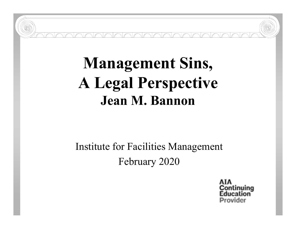# **Management Sins, A Legal Perspective Jean M. Bannon**

# Institute for Facilities Management February 2020

tinuina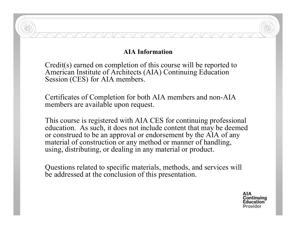#### **AIA Information**

Credit(s) earned on completion of this course will be reported to American Institute of Architects (AIA) Continuing Education Session (CES) for AIA members.

Certificates of Completion for both AIA members and non-AIA members are available upon request.

This course is registered with AIA CES for continuing professional education. As such, it does not include content that may be deemed or construed to be an approval or endorsement by the AIA of any material of construction or any method or manner of handling, using, distributing, or dealing in any material or product.

Questions related to specific materials, methods, and services will be addressed at the conclusion of this presentation.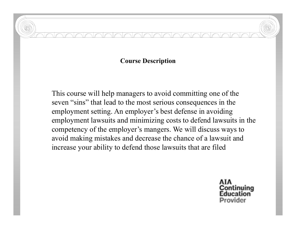#### **Course Description**

This course will help managers to avoid committing one of the seven "sins" that lead to the most serious consequences in the employment setting. An employer's best defense in avoiding employment lawsuits and minimizing costs to defend lawsuits in the competency of the employer's mangers. We will discuss ways to avoid making mistakes and decrease the chance of a lawsuit and increase your ability to defend those lawsuits that are filed

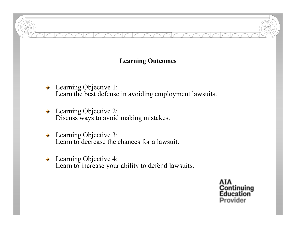#### **Learning Outcomes**

NAMM

- ◆ Learning Objective 1: Learn the best defense in avoiding employment lawsuits.
- ◆ Learning Objective 2: Discuss ways to avoid making mistakes.
- ◆ Learning Objective 3: Learn to decrease the chances for a lawsuit.
- Learning Objective 4: Learn to increase your ability to defend lawsuits.

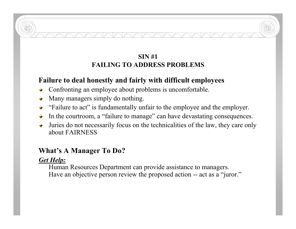### **SIN #1FAILING TO ADDRESS PROBLEMS**

#### **Failure to deal honestly and fairly with difficult employees**

- Confronting an employee about problems is uncomfortable.
- Many managers simply do nothing.
- "Failure to act" is fundamentally unfair to the employee and the employer.
- In the courtroom, a "failure to manage" can have devastating consequences.
- Juries do not necessarily focus on the technicalities of the law, they care only about FAIRNESS

#### **What's A Manager To Do?**

#### *Get Help:*

Human Resources Department can provide assistance to managers. Have an objective person review the proposed action -- act as a "juror."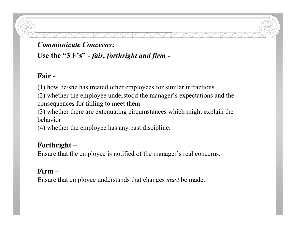#### *Communicate Concerns***:**

**Use the "3 F's" -** *fair, forthright and firm -*

# **Fair -**

(1) how he/she has treated other employees for similar infractions

(2) whether the employee understood the manager's expectations and the consequences for failing to meet them

(3) whether there are extenuating circumstances which might explain the behavior

(4) whether the employee has any past discipline.

# **Forthright** –

Ensure that the employee is notified of the manager's real concerns.

#### **Firm –**

Ensure that employee understands that changes *must* be made.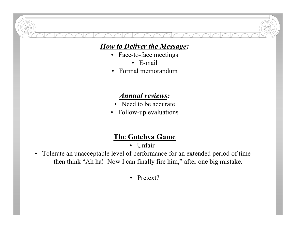# *How to Deliver the Message:*

- Face-to-face meetings
	- E-mail
- Formal memorandum

# *Annual reviews:*

- Need to be accurate
- Follow-up evaluations

# **The Gotchya Game**

- $\bullet$  Unfair  $-$
- Tolerate an unacceptable level of performance for an extended period of time then think "Ah ha! Now I can finally fire him," after one big mistake.
	- Pretext?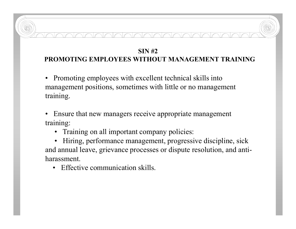# **SIN #2PROMOTING EMPLOYEES WITHOUT MANAGEMENT TRAINING**

• Promoting employees with excellent technical skills into management positions, sometimes with little or no management training.

• Ensure that new managers receive appropriate management training:

• Training on all important company policies:

• Hiring, performance management, progressive discipline, sick and annual leave, grievance processes or dispute resolution, and antiharassment.

• Effective communication skills.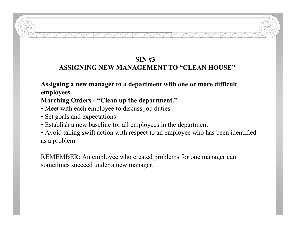# **SIN #3**

#### **ASSIGNING NEW MANAGEMENT TO "CLEAN HOUSE"**

#### **Assigning a new manager to a department with one or more difficult employees**

#### **Marching Orders - "Clean up the department."**

- Meet with each employee to discuss job duties
- Set goals and expectations
- Establish a new baseline for all employees in the department
- Avoid taking swift action with respect to an employee who has been identified as a problem.

REMEMBER: An employee who created problems for one manager can sometimes succeed under a new manager.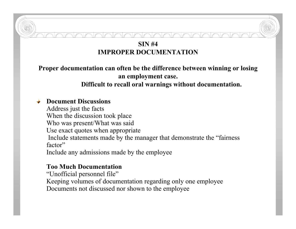#### **SIN #4 IMPROPER DOCUMENTATION**

**Proper documentation can often be the difference between winning or losing an employment case.** 

#### **Difficult to recall oral warnings without documentation.**

#### **Document Discussions**

Address just the facts

When the discussion took place

Who was present/What was said

Use exact quotes when appropriate

Include statements made by the manager that demonstrate the "fairness factor"

Include any admissions made by the employee

#### **Too Much Documentation**

"Unofficial personnel file" Keeping volumes of documentation regarding only one employee Documents not discussed nor shown to the employee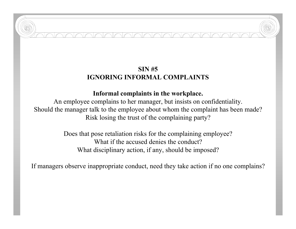# **SIN #5 IGNORING INFORMAL COMPLAINTS**

#### **Informal complaints in the workplace.**

An employee complains to her manager, but insists on confidentiality. Should the manager talk to the employee about whom the complaint has been made? Risk losing the trust of the complaining party?

> Does that pose retaliation risks for the complaining employee? What if the accused denies the conduct? What disciplinary action, if any, should be imposed?

If managers observe inappropriate conduct, need they take action if no one complains?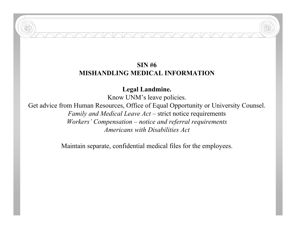#### **SIN #6 MISHANDLING MEDICAL INFORMATION**

**Legal Landmine.**

Know UNM's leave policies.

Get advice from Human Resources, Office of Equal Opportunity or University Counsel. *Family and Medical Leave Act* – strict notice requirements *Workers' Compensation – notice and referral requirements Americans with Disabilities Act*

Maintain separate, confidential medical files for the employees.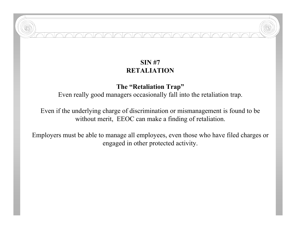#### **SIN #7 RETALIATION**

INNNN

#### **The "Retaliation Trap"**

Even really good managers occasionally fall into the retaliation trap.

Even if the underlying charge of discrimination or mismanagement is found to be without merit, EEOC can make a finding of retaliation.

Employers must be able to manage all employees, even those who have filed charges or engaged in other protected activity.